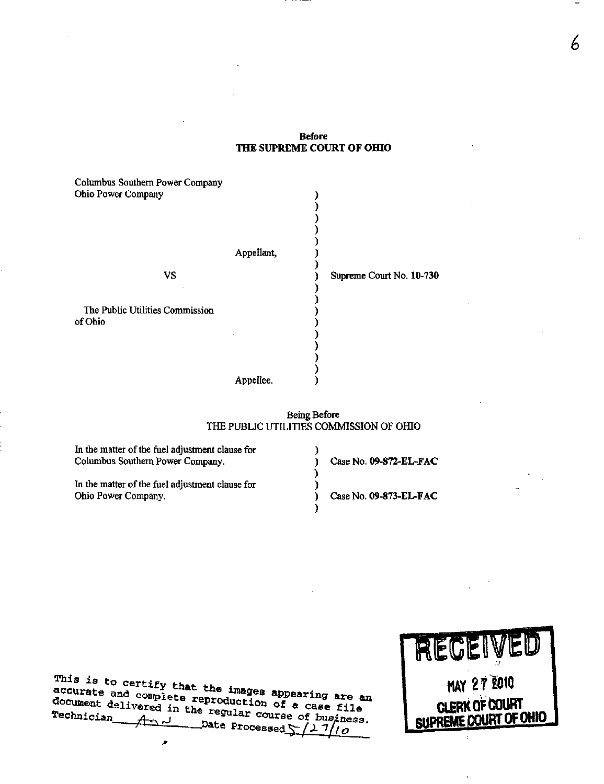## Before THE SUPREME COURT OF OHIO

| Columbus Southern Power Company<br><b>Ohio Power Company</b> |            |                          |
|--------------------------------------------------------------|------------|--------------------------|
|                                                              | Appellant, |                          |
| VS                                                           |            | Supreme Court No. 10-730 |
|                                                              |            |                          |
| The Public Utilities Commission                              |            |                          |
| of Ohio                                                      |            |                          |
|                                                              |            |                          |
|                                                              |            |                          |
|                                                              |            |                          |
|                                                              | Appellee.  |                          |

## Being Before THE PUBLIC UTILITIES COMMISSION OF OHIO

| In the matter of the fuel adjustment clause for<br>Columbus Southern Power Company. | Case No. 09-872-EL-FAC |
|-------------------------------------------------------------------------------------|------------------------|
| In the matter of the fuel adjustment clause for<br>Ohio Power Company.              | Case No. 09-873-EL-FAC |

 $T^{H1}S$  is to certify that the  $L$ accurate and complete reproduction as appearing are an accurate and complete reproduction of a case file<br>document delivered in the regular course of business document delivered in the regular course of business.  $\overline{A}$   $\overline{C}$   $\overline{D}$   $\overline{D}$   $\overline{D}$  ate Processed  $\frac{1}{2}$   $\frac{1}{10}$ 

×



6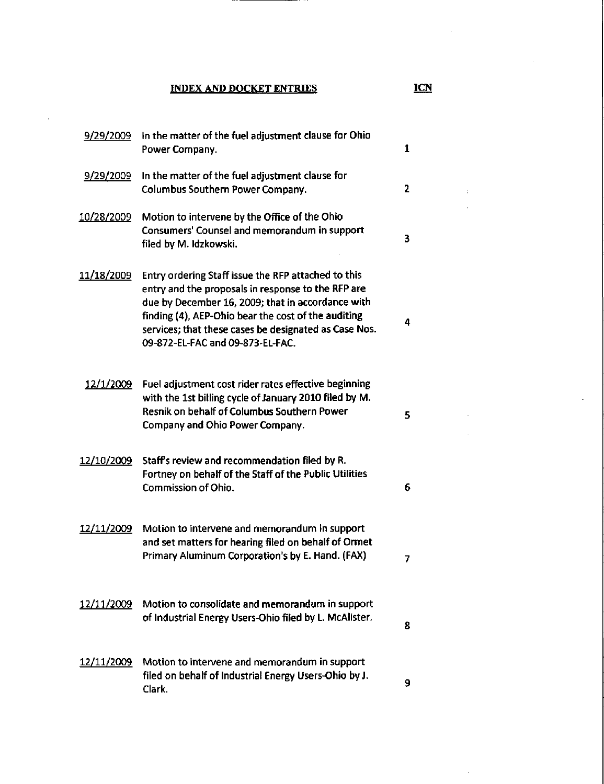INDEX AND DOCKET ENTRIES ICN

9/29/2009 In the matter of the fuel adjustment clause for Ohio  $\mathbf{1}$ Power Company. 9/29/2009 In the matter of the fuel adjustment clause for Columbus Southern Power Company.  $\overline{2}$ 10/28/2009 Motion to intervene by the Office of the Ohio Consumers' Counsel and memorandum in support 3 filed by M. Idzkowski. 11/18/2009 Entry ordering Staff issue the RFP attached to this entry and the proposals in response to the RFP are due by December 16, 2009; that in accordance with finding (4), AEP-Ohio bear the cost of the auditing 4 services; that these cases be designated as Case Nos. 09-872-EL-FAC and 09-873-EL-FAC. 12/1/2009 Fuel adjustment cost rider rates effective beginning with the 1st billing cycle of January 2010 filed by M. Resnik on behalf of Columbus Southern Power 5 Company and Ohio Power Company. 12/10/2009 Staffs review and recommendation filed by R. Fortney on behalf of the Staff of the Public Utilities Commission of Ohio. 6 12/11/2009 Motion to intervene and memorandum in support and set matters for hearing filed on behalf of Ormet Primary Aluminum Corporation's by E. Hand. (FAX) 7 12/11/2009 Motion to consolidate and memorandum in support of Industrial Energy Users-Ohio filed by L McAlister. 8 12/11/2009 Motion to intervene and memorandum in support filed on behalf of Industrial Energy Users-Ohio by J. 9 Clark.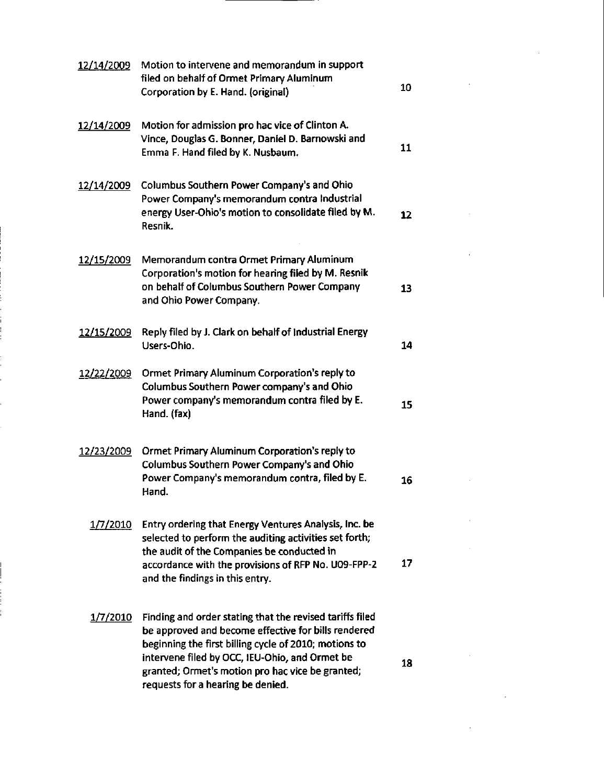| 12/14/2009        | Motion to intervene and memorandum in support<br>filed on behalf of Ormet Primary Aluminum<br>Corporation by E. Hand. (original)                                                                                                                                                                                    | 10 |  |
|-------------------|---------------------------------------------------------------------------------------------------------------------------------------------------------------------------------------------------------------------------------------------------------------------------------------------------------------------|----|--|
| 12/14/2009        | Motion for admission pro hac vice of Clinton A.<br>Vince, Douglas G. Bonner, Daniel D. Barnowski and<br>Emma F. Hand filed by K. Nusbaum.                                                                                                                                                                           | 11 |  |
| 12/14/2009        | Columbus Southern Power Company's and Ohio<br>Power Company's memorandum contra Industrial<br>energy User-Ohio's motion to consolidate filed by M.<br>Resnik.                                                                                                                                                       | 12 |  |
| 12/15/2009        | Memorandum contra Ormet Primary Aluminum<br>Corporation's motion for hearing filed by M. Resnik<br>on behalf of Columbus Southern Power Company<br>and Ohio Power Company.                                                                                                                                          | 13 |  |
| 12/15/2009        | Reply filed by J. Clark on behalf of Industrial Energy<br>Users-Ohio.                                                                                                                                                                                                                                               | 14 |  |
| <u>12/22/2009</u> | Ormet Primary Aluminum Corporation's reply to<br>Columbus Southern Power company's and Ohio<br>Power company's memorandum contra filed by E.<br>Hand. (fax)                                                                                                                                                         | 15 |  |
| 12/23/2009        | Ormet Primary Aluminum Corporation's reply to<br>Columbus Southern Power Company's and Ohio<br>Power Company's memorandum contra, filed by E.<br>Hand.                                                                                                                                                              | 16 |  |
| 1/7/2010          | Entry ordering that Energy Ventures Analysis, Inc. be<br>selected to perform the auditing activities set forth;<br>the audit of the Companies be conducted in<br>accordance with the provisions of RFP No. U09-FPP-2<br>and the findings in this entry.                                                             | 17 |  |
| 1/7/2010          | Finding and order stating that the revised tariffs filed<br>be approved and become effective for bills rendered<br>beginning the first billing cycle of 2010; motions to<br>intervene filed by OCC, IEU-Ohio, and Ormet be<br>granted; Ormet's motion pro hac vice be granted;<br>requests for a hearing be denied. | 18 |  |

 $\label{eq:2.1} \frac{1}{\sqrt{2}}\int_{\mathbb{R}^3}\frac{1}{\sqrt{2}}\left(\frac{1}{\sqrt{2}}\right)^2\frac{1}{\sqrt{2}}\left(\frac{1}{\sqrt{2}}\right)^2\frac{1}{\sqrt{2}}\left(\frac{1}{\sqrt{2}}\right)^2\frac{1}{\sqrt{2}}\left(\frac{1}{\sqrt{2}}\right)^2.$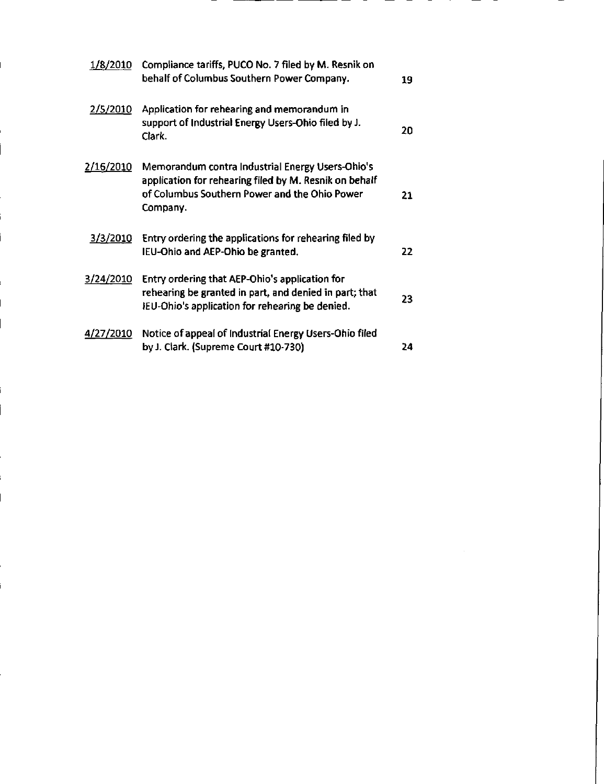| 1/8/2010         | Compliance tariffs, PUCO No. 7 filed by M. Resnik on<br>behalf of Columbus Southern Power Company.                                                                      | 19  |
|------------------|-------------------------------------------------------------------------------------------------------------------------------------------------------------------------|-----|
| 2/5/2010         | Application for rehearing and memorandum in<br>support of Industrial Energy Users-Ohio filed by J.<br>Clark.                                                            | 20. |
| <u>2/16/2010</u> | Memorandum contra Industrial Energy Users-Ohio's<br>application for rehearing filed by M. Resnik on behalf<br>of Columbus Southern Power and the Ohio Power<br>Company. | 21  |
| 3/3/2010         | Entry ordering the applications for rehearing filed by<br>IEU-Ohio and AEP-Ohio be granted.                                                                             | 22. |
| 3/24/2010        | Entry ordering that AEP-Ohio's application for<br>rehearing be granted in part, and denied in part; that<br>IEU-Ohio's application for rehearing be denied.             | 23. |
| <u>4/27/2010</u> | Notice of appeal of Industrial Energy Users-Ohio filed<br>by J. Clark. (Supreme Court #10-730)                                                                          | 24  |

 $\label{eq:2.1} \frac{1}{\sqrt{2}}\left(\frac{1}{\sqrt{2}}\right)^{2} \left(\frac{1}{\sqrt{2}}\right)^{2} \left(\frac{1}{\sqrt{2}}\right)^{2} \left(\frac{1}{\sqrt{2}}\right)^{2} \left(\frac{1}{\sqrt{2}}\right)^{2} \left(\frac{1}{\sqrt{2}}\right)^{2} \left(\frac{1}{\sqrt{2}}\right)^{2} \left(\frac{1}{\sqrt{2}}\right)^{2} \left(\frac{1}{\sqrt{2}}\right)^{2} \left(\frac{1}{\sqrt{2}}\right)^{2} \left(\frac{1}{\sqrt{2}}\right)^{2} \left(\$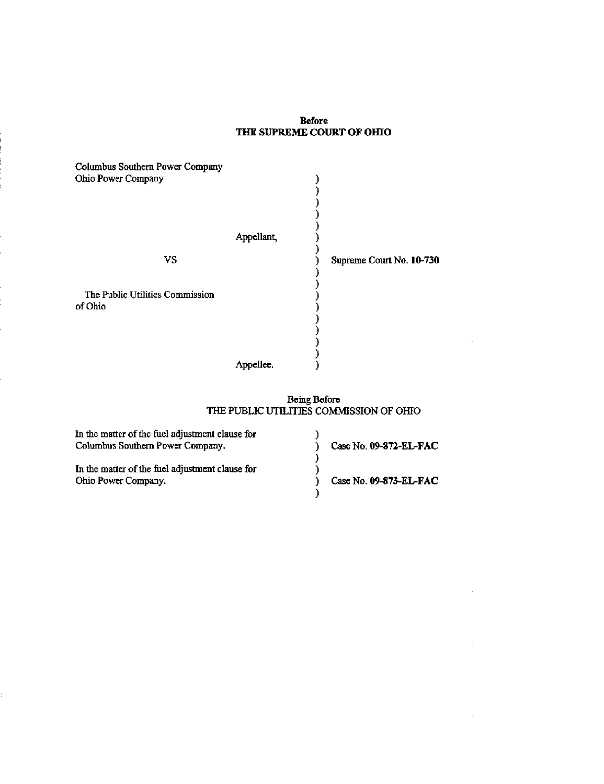## Before THE SUPREME COURT OF OHIO

| Columbus Southern Power Company<br>Ohio Power Company |            |                          |
|-------------------------------------------------------|------------|--------------------------|
|                                                       | Appellant, |                          |
| <b>VS</b>                                             |            | Supreme Court No. 10-730 |
|                                                       |            |                          |
| The Public Utilities Commission                       |            |                          |
| of Ohio                                               |            |                          |
|                                                       |            |                          |
|                                                       |            |                          |
|                                                       |            |                          |
|                                                       | Appellee.  |                          |

#### Being Before THE PUBLIC UTILITIES COMMISSION OF OHIO

l,

| In the matter of the fuel adjustment clause for |                        |
|-------------------------------------------------|------------------------|
| Columbus Southern Power Company.                | Case No. 09-872-EL-FAC |
|                                                 |                        |
| In the matter of the fuel adjustment clause for |                        |
| Ohio Power Company.                             | Case No. 09-873-EL-FAC |
|                                                 |                        |

t,